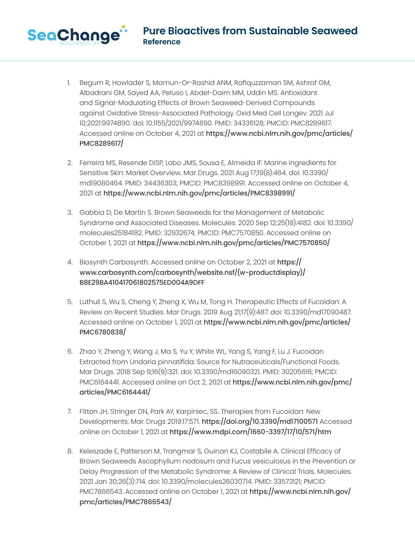1. Begum R, Howlader S, Mamun-Or-Rashid ANM, Rafiquzzaman SM, Ashraf GM, Albadrani GM, Sayed AA, Peluso I, Abdel-Daim MM, Uddin MS. Antioxidant and Signal-Modulating Effects of Brown Seaweed-Derived Compounds against Oxidative Stress-Associated Pathology. Oxid Med Cell Longev. 2021 Jul 10;2021:9974890. doi: 10.1155/2021/9974890. PMID: 34336128; PMCID: PMC8289617. Accessed online on October 4, 2021 at https://www.ncbi.nlm.nih.gov/pmc/articles/ PMC8289617/

- 2. Ferreira MS, Resende DISP, Lobo JMS, Sousa E, Almeida IF. Marine Ingredients for Sensitive Skin: Market Overview. Mar Drugs. 2021 Aug 17;19(8):464. doi: 10.3390/ md19080464. PMID: 34436303; PMCID: PMC8398991. Accessed online on October 4, 2021 at https://www.ncbi.nlm.nih.gov/pmc/articles/PMC8398991/
- 3. Gabbia D, De Martin S. Brown Seaweeds for the Management of Metabolic Syndrome and Associated Diseases. Molecules. 2020 Sep 12;25(18):4182. doi: 10.3390/ molecules25184182. PMID: 32932674; PMCID: PMC7570850. Accessed online on October 1, 2021 at https://www.ncbi.nlm.nih.gov/pmc/articles/PMC7570850/
- 4. Biosynth Carbosynth. Accessed online on October 2, 2021 at https:// www.carbosynth.com/carbosynth/website.nsf/(w-productdisplay)/ B8E29BA410417061802575ED004A9DFF
- 5. Luthuli S, Wu S, Cheng Y, Zheng X, Wu M, Tong H. Therapeutic Effects of Fucoidan: A Review on Recent Studies. Mar Drugs. 2019 Aug 21;17(9):487. doi: 10.3390/md17090487. Accessed online on October 1, 2021 at https://www.ncbi.nlm.nih.gov/pmc/articles/ PMC6780838/
- 6. Zhao Y, Zheng Y, Wang J, Ma S, Yu Y, White WL, Yang S, Yang F, Lu J. Fucoidan Extracted from Undaria pinnatifida: Source for Nutraceuticals/Functional Foods. Mar Drugs. 2018 Sep 9;16(9):321. doi: 10.3390/md16090321. PMID: 30205616; PMCID: PMC6164441. Accessed online on Oct 2, 2021 at https://www.ncbi.nlm.nih.gov/pmc/ articles/PMC6164441/
- 7. Fitton JH, Stringer DN, Park AY, Karpiniec, SS. Therapies from Fucoidan: New Developments. Mar. Drugs 2019:17:571. https://doi.org/10.3390/md17100571 Accessed online on October 1, 2021 at https://www.mdpi.com/1660-3397/17/10/571/htm
- 8. Keleszade E, Patterson M, Trangmar S, Guinan KJ, Costabile A. Clinical Efficacy of Brown Seaweeds Ascophyllum nodosum and Fucus vesiculosus in the Prevention or Delay Progression of the Metabolic Syndrome: A Review of Clinical Trials. Molecules. 2021 Jan 30;26(3):714. doi: 10.3390/molecules26030714. PMID: 33573121; PMCID: PMC7866543. Accessed online on October 1, 2021 at https://www.ncbi.nlm.nih.gov/ pmc/articles/PMC7866543/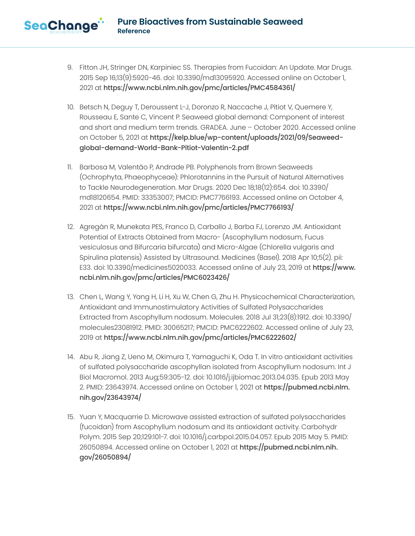- 9. Fitton JH, Stringer DN, Karpiniec SS. Therapies from Fucoidan: An Update. Mar Drugs. 2015 Sep 16;13(9):5920-46. doi: 10.3390/md13095920. Accessed online on October 1, 2021 at https://www.ncbi.nlm.nih.gov/pmc/articles/PMC4584361/
- 10. Betsch N, Deguy T, Deroussent L-J, Doronzo R, Naccache J, Pitiot V, Quemere Y, Rousseau E, Sante C, Vincent P. Seaweed global demand: Component of interest and short and medium term trends. GRADEA. June – October 2020. Accessed online on October 5, 2021 at https://kelp.blue/wp-content/uploads/2021/09/Seaweedglobal-demand-World-Bank-Pitiot-Valentin-2.pdf
- 11. Barbosa M, Valentão P, Andrade PB. Polyphenols from Brown Seaweeds (Ochrophyta, Phaeophyceae): Phlorotannins in the Pursuit of Natural Alternatives to Tackle Neurodegeneration. Mar Drugs. 2020 Dec 18;18(12):654. doi: 10.3390/ md18120654. PMID: 33353007; PMCID: PMC7766193. Accessed online on October 4, 2021 at https://www.ncbi.nlm.nih.gov/pmc/articles/PMC7766193/
- 12. Agregán R, Munekata PES, Franco D, Carballo J, Barba FJ, Lorenzo JM. Antioxidant Potential of Extracts Obtained from Macro- (Ascophyllum nodosum, Fucus vesiculosus and Bifurcaria bifurcata) and Micro-Algae (Chlorella vulgaris and Spirulina platensis) Assisted by Ultrasound. Medicines (Basel). 2018 Apr 10;5(2). pii: E33. doi: 10.3390/medicines5020033. Accessed online of July 23, 2019 at https://www. ncbi.nlm.nih.gov/pmc/articles/PMC6023426/
- 13. Chen L, Wang Y, Yang H, Li H, Xu W, Chen G, Zhu H. Physicochemical Characterization, Antioxidant and Immunostimulatory Activities of Sulfated Polysaccharides Extracted from Ascophyllum nodosum. Molecules. 2018 Jul 31;23(8):1912. doi: 10.3390/ molecules23081912. PMID: 30065217; PMCID: PMC6222602. Accessed online of July 23, 2019 at https://www.ncbi.nlm.nih.gov/pmc/articles/PMC6222602/
- 14. Abu R, Jiang Z, Ueno M, Okimura T, Yamaguchi K, Oda T. In vitro antioxidant activities of sulfated polysaccharide ascophyllan isolated from Ascophyllum nodosum. Int J Biol Macromol. 2013 Aug;59:305-12. doi: 10.1016/j.ijbiomac.2013.04.035. Epub 2013 May 2. PMID: 23643974. Accessed online on October 1, 2021 at https://pubmed.ncbi.nlm. nih.gov/23643974/
- 15. Yuan Y, Macquarrie D. Microwave assisted extraction of sulfated polysaccharides (fucoidan) from Ascophyllum nodosum and its antioxidant activity. Carbohydr Polym. 2015 Sep 20;129:101-7. doi: 10.1016/j.carbpol.2015.04.057. Epub 2015 May 5. PMID: 26050894. Accessed online on October 1, 2021 at https://pubmed.ncbi.nlm.nih. gov/26050894/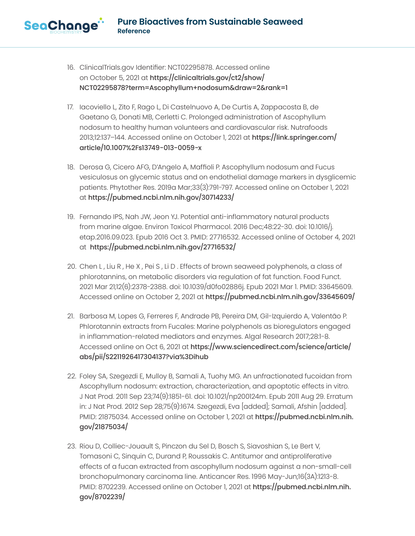16. ClinicalTrials.gov Identifier: NCT02295878. Accessed online on October 5, 2021 at https://clinicaltrials.gov/ct2/show/ NCT02295878?term=Ascophyllum+nodosum&draw=2&rank=1

- 17. Iacoviello L, Zito F, Rago L, Di Castelnuovo A, De Curtis A, Zappacosta B, de Gaetano G, Donati MB, Cerletti C. Prolonged administration of Ascophyllum nodosum to healthy human volunteers and cardiovascular risk. Nutrafoods 2013;12:137–144. Accessed online on October 1, 2021 at https://link.springer.com/ article/10.1007%2Fs13749-013-0059-x
- 18. Derosa G, Cicero AFG, D'Angelo A, Maffioli P. Ascophyllum nodosum and Fucus vesiculosus on glycemic status and on endothelial damage markers in dysglicemic patients. Phytother Res. 2019a Mar;33(3):791-797. Accessed online on October 1, 2021 at https://pubmed.ncbi.nlm.nih.gov/30714233/
- 19. Fernando IPS, Nah JW, Jeon YJ. Potential anti-inflammatory natural products from marine algae. Environ Toxicol Pharmacol. 2016 Dec;48:22-30. doi: 10.1016/j. etap.2016.09.023. Epub 2016 Oct 3. PMID: 27716532. Accessed online of October 4, 2021 at https://pubmed.ncbi.nlm.nih.gov/27716532/
- 20. Chen L , Liu R , He X , Pei S , Li D . Effects of brown seaweed polyphenols, a class of phlorotannins, on metabolic disorders via regulation of fat function. Food Funct. 2021 Mar 21;12(6):2378-2388. doi: 10.1039/d0fo02886j. Epub 2021 Mar 1. PMID: 33645609. Accessed online on October 2, 2021 at https://pubmed.ncbi.nlm.nih.gov/33645609/
- 21. Barbosa M, Lopes G, Ferreres F, Andrade PB, Pereira DM, Gil-Izquierdo A, Valentão P. Phlorotannin extracts from Fucales: Marine polyphenols as bioregulators engaged in inflammation-related mediators and enzymes. Algal Research 2017;28:1-8. Accessed online on Oct 6, 2021 at https://www.sciencedirect.com/science/article/ abs/pii/S2211926417304137?via%3Dihub
- 22. Foley SA, Szegezdi E, Mulloy B, Samali A, Tuohy MG. An unfractionated fucoidan from Ascophyllum nodosum: extraction, characterization, and apoptotic effects in vitro. J Nat Prod. 2011 Sep 23;74(9):1851-61. doi: 10.1021/np200124m. Epub 2011 Aug 29. Erratum in: J Nat Prod. 2012 Sep 28;75(9):1674. Szegezdi, Eva [added]; Samali, Afshin [added]. PMID: 21875034. Accessed online on October 1, 2021 at https://pubmed.ncbi.nlm.nih. gov/21875034/
- 23. Riou D, Colliec-Jouault S, Pinczon du Sel D, Bosch S, Siavoshian S, Le Bert V, Tomasoni C, Sinquin C, Durand P, Roussakis C. Antitumor and antiproliferative effects of a fucan extracted from ascophyllum nodosum against a non-small-cell bronchopulmonary carcinoma line. Anticancer Res. 1996 May-Jun;16(3A):1213-8. PMID: 8702239. Accessed online on October 1, 2021 at https://pubmed.ncbi.nlm.nih. gov/8702239/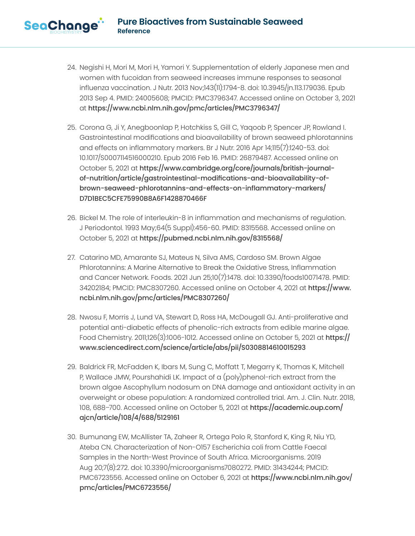- 24. Negishi H, Mori M, Mori H, Yamori Y. Supplementation of elderly Japanese men and women with fucoidan from seaweed increases immune responses to seasonal influenza vaccination. J Nutr. 2013 Nov;143(11):1794-8. doi: 10.3945/jn.113.179036. Epub 2013 Sep 4. PMID: 24005608; PMCID: PMC3796347. Accessed online on October 3, 2021 at https://www.ncbi.nlm.nih.gov/pmc/articles/PMC3796347/
- 25. Corona G, Ji Y, Anegboonlap P, Hotchkiss S, Gill C, Yaqoob P, Spencer JP, Rowland I. Gastrointestinal modifications and bioavailability of brown seaweed phlorotannins and effects on inflammatory markers. Br J Nutr. 2016 Apr 14;115(7):1240-53. doi: 10.1017/S0007114516000210. Epub 2016 Feb 16. PMID: 26879487. Accessed online on October 5, 2021 at https://www.cambridge.org/core/journals/british-journalof-nutrition/article/gastrointestinal-modifications-and-bioavailability-ofbrown-seaweed-phlorotannins-and-effects-on-inflammatory-markers/ D7D1BEC5CFE75990B8A6F1428870466F
- 26. Bickel M. The role of interleukin-8 in inflammation and mechanisms of regulation. J Periodontol. 1993 May;64(5 Suppl):456-60. PMID: 8315568. Accessed online on October 5, 2021 at https://pubmed.ncbi.nlm.nih.gov/8315568/
- 27. Catarino MD, Amarante SJ, Mateus N, Silva AMS, Cardoso SM. Brown Algae Phlorotannins: A Marine Alternative to Break the Oxidative Stress, Inflammation and Cancer Network. Foods. 2021 Jun 25;10(7):1478. doi: 10.3390/foods10071478. PMID: 34202184; PMCID: PMC8307260. Accessed online on October 4, 2021 at https://www. ncbi.nlm.nih.gov/pmc/articles/PMC8307260/
- 28. Nwosu F, Morris J, Lund VA, Stewart D, Ross HA, McDougall GJ. Anti-proliferative and potential anti-diabetic effects of phenolic-rich extracts from edible marine algae. Food Chemistry. 2011;126(3):1006-1012. Accessed online on October 5, 2021 at  $https://$ www.sciencedirect.com/science/article/abs/pii/S0308814610015293
- 29. Baldrick FR, McFadden K, Ibars M, Sung C, Moffatt T, Megarry K, Thomas K, Mitchell P, Wallace JMW, Pourshahidi LK. Impact of a (poly)phenol-rich extract from the brown algae Ascophyllum nodosum on DNA damage and antioxidant activity in an overweight or obese population: A randomized controlled trial. Am. J. Clin. Nutr. 2018, 108, 688–700. Accessed online on October 5, 2021 at https://academic.oup.com/ ajcn/article/108/4/688/5129161
- 30. Bumunang EW, McAllister TA, Zaheer R, Ortega Polo R, Stanford K, King R, Niu YD, Ateba CN. Characterization of Non-O157 Escherichia coli from Cattle Faecal Samples in the North-West Province of South Africa. Microorganisms. 2019 Aug 20;7(8):272. doi: 10.3390/microorganisms7080272. PMID: 31434244; PMCID: PMC6723556. Accessed online on October 6, 2021 at https://www.ncbi.nlm.nih.gov/ pmc/articles/PMC6723556/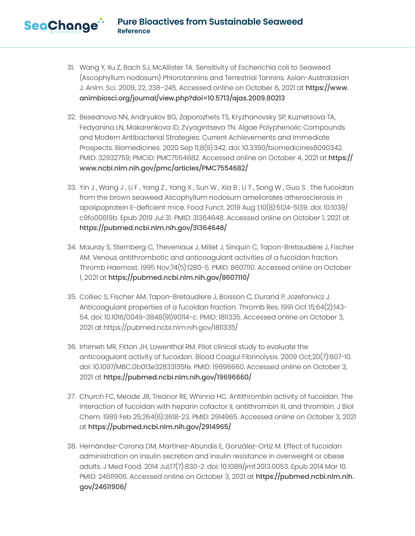- 31. Wang Y, Xu Z, Bach SJ, McAllister TA. Sensitivity of Escherichia coli to Seaweed (Ascophyllum nodosum) Phlorotannins and Terrestrial Tannins. Asian-Australasian J. Anim. Sci. 2009, 22, 238–245. Accessed online on October 6, 2021 at https://www. animbiosci.org/journal/view.php?doi=10.5713/ajas.2009.80213
- 32. Besednova NN, Andryukov BG, Zaporozhets TS, Kryzhanovsky SP, Kuznetsova TA, Fedyanina LN, Makarenkova ID, Zvyagintseva TN. Algae Polyphenolic Compounds and Modern Antibacterial Strategies: Current Achievements and Immediate Prospects. Biomedicines. 2020 Sep 11;8(9):342. doi: 10.3390/biomedicines8090342. PMID: 32932759; PMCID: PMC7554682. Accessed online on October 4, 2021 at https:// www.ncbi.nlm.nih.gov/pmc/articles/PMC7554682/
- 33. Yin J , Wang J , Li F , Yang Z , Yang X , Sun W , Xia B , Li T , Song W , Guo S . The fucoidan from the brown seaweed Ascophyllum nodosum ameliorates atherosclerosis in apolipoprotein E-deficient mice. Food Funct. 2019 Aug 1;10(8):5124-5139. doi: 10.1039/ c9fo00619b. Epub 2019 Jul 31. PMID: 31364648. Accessed online on October 1, 2021 at https://pubmed.ncbi.nlm.nih.gov/31364648/
- 34. Mauray S, Sternberg C, Theveniaux J, Millet J, Sinquin C, Tapon-Bretaudière J, Fischer AM. Venous antithrombotic and anticoagulant activities of a fucoïdan fraction. Thromb Haemost. 1995 Nov;74(5):1280-5. PMID: 8607110. Accessed online on October 1, 2021 at https://pubmed.ncbi.nlm.nih.gov/8607110/
- 35. Colliec S, Fischer AM, Tapon-Bretaudiere J, Boisson C, Durand P, Jozefonvicz J. Anticoagulant properties of a fucoïdan fraction. Thromb Res. 1991 Oct 15;64(2):143- 54. doi: 10.1016/0049-3848(91)90114-c. PMID: 1811335. Accessed online on October 3, 2021 at https://pubmed.ncbi.nlm.nih.gov/1811335/
- 36. Irhimeh MR, Fitton JH, Lowenthal RM. Pilot clinical study to evaluate the anticoagulant activity of fucoidan. Blood Coagul Fibrinolysis. 2009 Oct;20(7):607-10. doi: 10.1097/MBC.0b013e32833135fe. PMID: 19696660. Accessed online on October 3, 2021 at https://pubmed.ncbi.nlm.nih.gov/19696660/
- 37. Church FC, Meade JB, Treanor RE, Whinna HC. Antithrombin activity of fucoidan. The interaction of fucoidan with heparin cofactor II, antithrombin III, and thrombin. J Biol Chem. 1989 Feb 25;264(6):3618-23. PMID: 2914965. Accessed online on October 3, 2021 at https://pubmed.ncbi.nlm.nih.gov/2914965/
- 38. Hernández-Corona DM, Martínez-Abundis E, González-Ortiz M. Effect of fucoidan administration on insulin secretion and insulin resistance in overweight or obese adults. J Med Food. 2014 Jul;17(7):830-2. doi: 10.1089/jmf.2013.0053. Epub 2014 Mar 10. PMID: 24611906. Accessed online on October 3, 2021 at https://pubmed.ncbi.nlm.nih. gov/24611906/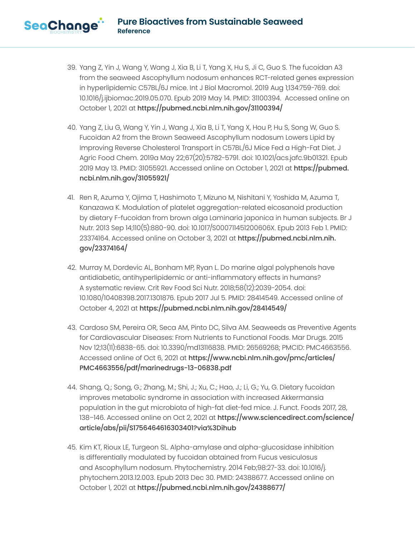- 39. Yang Z, Yin J, Wang Y, Wang J, Xia B, Li T, Yang X, Hu S, Ji C, Guo S. The fucoidan A3 from the seaweed Ascophyllum nodosum enhances RCT-related genes expression in hyperlipidemic C57BL/6J mice. Int J Biol Macromol. 2019 Aug 1;134:759-769. doi: 10.1016/j.ijbiomac.2019.05.070. Epub 2019 May 14. PMID: 31100394. Accessed online on October 1, 2021 at https://pubmed.ncbi.nlm.nih.gov/31100394/
- 40. Yang Z, Liu G, Wang Y, Yin J, Wang J, Xia B, Li T, Yang X, Hou P, Hu S, Song W, Guo S. Fucoidan A2 from the Brown Seaweed Ascophyllum nodosum Lowers Lipid by Improving Reverse Cholesterol Transport in C57BL/6J Mice Fed a High-Fat Diet. J Agric Food Chem. 2019a May 22;67(20):5782-5791. doi: 10.1021/acs.jafc.9b01321. Epub 2019 May 13. PMID: 31055921. Accessed online on October 1, 2021 at https://pubmed. ncbi.nlm.nih.gov/31055921/
- 41. Ren R, Azuma Y, Ojima T, Hashimoto T, Mizuno M, Nishitani Y, Yoshida M, Azuma T, Kanazawa K. Modulation of platelet aggregation-related eicosanoid production by dietary F-fucoidan from brown alga Laminaria japonica in human subjects. Br J Nutr. 2013 Sep 14;110(5):880-90. doi: 10.1017/S000711451200606X. Epub 2013 Feb 1. PMID: 23374164. Accessed online on October 3, 2021 at https://pubmed.ncbi.nlm.nih. gov/23374164/
- 42. Murray M, Dordevic AL, Bonham MP, Ryan L. Do marine algal polyphenols have antidiabetic, antihyperlipidemic or anti-inflammatory effects in humans? A systematic review. Crit Rev Food Sci Nutr. 2018;58(12):2039-2054. doi: 10.1080/10408398.2017.1301876. Epub 2017 Jul 5. PMID: 28414549. Accessed online of October 4, 2021 at https://pubmed.ncbi.nlm.nih.gov/28414549/
- 43. Cardoso SM, Pereira OR, Seca AM, Pinto DC, Silva AM. Seaweeds as Preventive Agents for Cardiovascular Diseases: From Nutrients to Functional Foods. Mar Drugs. 2015 Nov 12;13(11):6838-65. doi: 10.3390/md13116838. PMID: 26569268; PMCID: PMC4663556. Accessed online of Oct 6, 2021 at https://www.ncbi.nlm.nih.gov/pmc/articles/ PMC4663556/pdf/marinedrugs-13-06838.pdf
- 44. Shang, Q.; Song, G.; Zhang, M.; Shi, J.; Xu, C.; Hao, J.; Li, G.; Yu, G. Dietary fucoidan improves metabolic syndrome in association with increased Akkermansia population in the gut microbiota of high-fat diet-fed mice. J. Funct. Foods 2017, 28, 138–146. Accessed online on Oct 2, 2021 at https://www.sciencedirect.com/science/ article/abs/pii/S1756464616303401?via%3Dihub
- 45. Kim KT, Rioux LE, Turgeon SL. Alpha-amylase and alpha-glucosidase inhibition is differentially modulated by fucoidan obtained from Fucus vesiculosus and Ascophyllum nodosum. Phytochemistry. 2014 Feb;98:27-33. doi: 10.1016/j. phytochem.2013.12.003. Epub 2013 Dec 30. PMID: 24388677. Accessed online on October 1, 2021 at https://pubmed.ncbi.nlm.nih.gov/24388677/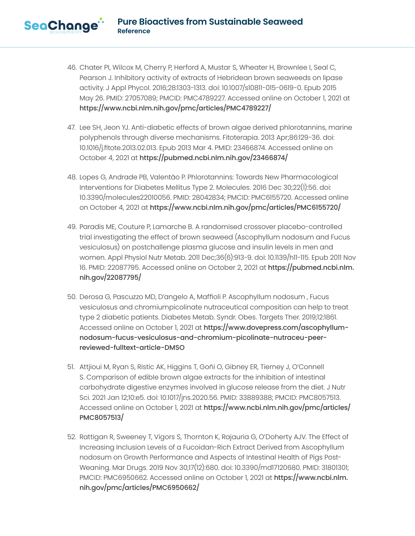- 46. Chater PI, Wilcox M, Cherry P, Herford A, Mustar S, Wheater H, Brownlee I, Seal C, Pearson J. Inhibitory activity of extracts of Hebridean brown seaweeds on lipase activity. J Appl Phycol. 2016;28:1303-1313. doi: 10.1007/s10811-015-0619-0. Epub 2015 May 26. PMID: 27057089; PMCID: PMC4789227. Accessed online on October 1, 2021 at https://www.ncbi.nlm.nih.gov/pmc/articles/PMC4789227/
- 47. Lee SH, Jeon YJ. Anti-diabetic effects of brown algae derived phlorotannins, marine polyphenols through diverse mechanisms. Fitoterapia. 2013 Apr;86:129-36. doi: 10.1016/j.fitote.2013.02.013. Epub 2013 Mar 4. PMID: 23466874. Accessed online on October 4, 2021 at https://pubmed.ncbi.nlm.nih.gov/23466874/
- 48. Lopes G, Andrade PB, Valentão P. Phlorotannins: Towards New Pharmacological Interventions for Diabetes Mellitus Type 2. Molecules. 2016 Dec 30;22(1):56. doi: 10.3390/molecules22010056. PMID: 28042834; PMCID: PMC6155720. Accessed online on October 4, 2021 at https://www.ncbi.nlm.nih.gov/pmc/articles/PMC6155720/
- 49. Paradis ME, Couture P, Lamarche B. A randomised crossover placebo-controlled trial investigating the effect of brown seaweed (Ascophyllum nodosum and Fucus vesiculosus) on postchallenge plasma glucose and insulin levels in men and women. Appl Physiol Nutr Metab. 2011 Dec;36(6):913-9. doi: 10.1139/h11-115. Epub 2011 Nov 16. PMID: 22087795. Accessed online on October 2, 2021 at https://pubmed.ncbi.nlm. nih.gov/22087795/
- 50. Derosa G, Pascuzzo MD, D'angelo A, Maffioli P. Ascophyllum nodosum , Fucus vesiculosus and chromiumpicolinate nutraceutical composition can help to treat type 2 diabetic patients. Diabetes Metab. Syndr. Obes. Targets Ther. 2019;12:1861. Accessed online on October 1, 2021 at https://www.dovepress.com/ascophyllumnodosum-fucus-vesiculosus-and-chromium-picolinate-nutraceu-peerreviewed-fulltext-article-DMSO
- 51. Attjioui M, Ryan S, Ristic AK, Higgins T, Goñi O, Gibney ER, Tierney J, O'Connell S. Comparison of edible brown algae extracts for the inhibition of intestinal carbohydrate digestive enzymes involved in glucose release from the diet. J Nutr Sci. 2021 Jan 12;10:e5. doi: 10.1017/jns.2020.56. PMID: 33889388; PMCID: PMC8057513. Accessed online on October 1, 2021 at https://www.ncbi.nlm.nih.gov/pmc/articles/ PMC8057513/
- 52. Rattigan R, Sweeney T, Vigors S, Thornton K, Rajauria G, O'Doherty AJV. The Effect of Increasing Inclusion Levels of a Fucoidan-Rich Extract Derived from Ascophyllum nodosum on Growth Performance and Aspects of Intestinal Health of Pigs Post-Weaning. Mar Drugs. 2019 Nov 30;17(12):680. doi: 10.3390/md17120680. PMID: 31801301; PMCID: PMC6950662. Accessed online on October 1, 2021 at https://www.ncbi.nlm. nih.gov/pmc/articles/PMC6950662/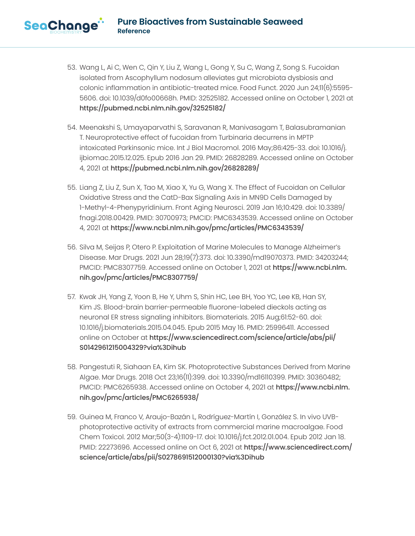- 53. Wang L, Ai C, Wen C, Qin Y, Liu Z, Wang L, Gong Y, Su C, Wang Z, Song S. Fucoidan isolated from Ascophyllum nodosum alleviates gut microbiota dysbiosis and colonic inflammation in antibiotic-treated mice. Food Funct. 2020 Jun 24;11(6):5595- 5606. doi: 10.1039/d0fo00668h. PMID: 32525182. Accessed online on October 1, 2021 at https://pubmed.ncbi.nlm.nih.gov/32525182/
- 54. Meenakshi S, Umayaparvathi S, Saravanan R, Manivasagam T, Balasubramanian T. Neuroprotective effect of fucoidan from Turbinaria decurrens in MPTP intoxicated Parkinsonic mice. Int J Biol Macromol. 2016 May;86:425-33. doi: 10.1016/j. ijbiomac.2015.12.025. Epub 2016 Jan 29. PMID: 26828289. Accessed online on October 4, 2021 at https://pubmed.ncbi.nlm.nih.gov/26828289/
- 55. Liang Z, Liu Z, Sun X, Tao M, Xiao X, Yu G, Wang X. The Effect of Fucoidan on Cellular Oxidative Stress and the CatD-Bax Signaling Axis in MN9D Cells Damaged by 1-Methyl-4-Phenypyridinium. Front Aging Neurosci. 2019 Jan 16;10:429. doi: 10.3389/ fnagi.2018.00429. PMID: 30700973; PMCID: PMC6343539. Accessed online on October 4, 2021 at https://www.ncbi.nlm.nih.gov/pmc/articles/PMC6343539/
- 56. Silva M, Seijas P, Otero P. Exploitation of Marine Molecules to Manage Alzheimer's Disease. Mar Drugs. 2021 Jun 28;19(7):373. doi: 10.3390/md19070373. PMID: 34203244; PMCID: PMC8307759. Accessed online on October 1, 2021 at https://www.ncbi.nlm. nih.gov/pmc/articles/PMC8307759/
- 57. Kwak JH, Yang Z, Yoon B, He Y, Uhm S, Shin HC, Lee BH, Yoo YC, Lee KB, Han SY, Kim JS. Blood-brain barrier-permeable fluorone-labeled dieckols acting as neuronal ER stress signaling inhibitors. Biomaterials. 2015 Aug;61:52-60. doi: 10.1016/j.biomaterials.2015.04.045. Epub 2015 May 16. PMID: 25996411. Accessed online on October at https://www.sciencedirect.com/science/article/abs/pii/ S0142961215004329?via%3Dihub
- 58. Pangestuti R, Siahaan EA, Kim SK. Photoprotective Substances Derived from Marine Algae. Mar Drugs. 2018 Oct 23;16(11):399. doi: 10.3390/md16110399. PMID: 30360482; PMCID: PMC6265938. Accessed online on October 4, 2021 at https://www.ncbi.nlm. nih.gov/pmc/articles/PMC6265938/
- 59. Guinea M, Franco V, Araujo-Bazán L, Rodríguez-Martín I, González S. In vivo UVBphotoprotective activity of extracts from commercial marine macroalgae. Food Chem Toxicol. 2012 Mar;50(3-4):1109-17. doi: 10.1016/j.fct.2012.01.004. Epub 2012 Jan 18. PMID: 22273696. Accessed online on Oct 6, 2021 at https://www.sciencedirect.com/ science/article/abs/pii/S0278691512000130?via%3Dihub